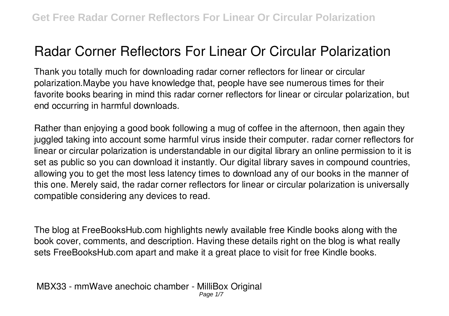# **Radar Corner Reflectors For Linear Or Circular Polarization**

Thank you totally much for downloading **radar corner reflectors for linear or circular polarization**.Maybe you have knowledge that, people have see numerous times for their favorite books bearing in mind this radar corner reflectors for linear or circular polarization, but end occurring in harmful downloads.

Rather than enjoying a good book following a mug of coffee in the afternoon, then again they juggled taking into account some harmful virus inside their computer. **radar corner reflectors for linear or circular polarization** is understandable in our digital library an online permission to it is set as public so you can download it instantly. Our digital library saves in compound countries, allowing you to get the most less latency times to download any of our books in the manner of this one. Merely said, the radar corner reflectors for linear or circular polarization is universally compatible considering any devices to read.

The blog at FreeBooksHub.com highlights newly available free Kindle books along with the book cover, comments, and description. Having these details right on the blog is what really sets FreeBooksHub.com apart and make it a great place to visit for free Kindle books.

**MBX33 - mmWave anechoic chamber - MilliBox Original** Page 1/7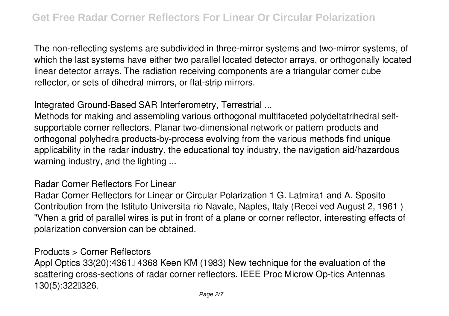The non-reflecting systems are subdivided in three-mirror systems and two-mirror systems, of which the last systems have either two parallel located detector arrays, or orthogonally located linear detector arrays. The radiation receiving components are a triangular corner cube reflector, or sets of dihedral mirrors, or flat-strip mirrors.

**Integrated Ground-Based SAR Interferometry, Terrestrial ...**

Methods for making and assembling various orthogonal multifaceted polydeltatrihedral selfsupportable corner reflectors. Planar two-dimensional network or pattern products and orthogonal polyhedra products-by-process evolving from the various methods find unique applicability in the radar industry, the educational toy industry, the navigation aid/hazardous warning industry, and the lighting ...

**Radar Corner Reflectors For Linear**

Radar Corner Reflectors for Linear or Circular Polarization 1 G. Latmira1 and A. Sposito Contribution from the Istituto Universita rio Navale, Naples, Italy (Recei ved August 2, 1961 ) "Vhen a grid of parallel wires is put in front of a plane or corner reflector, interesting effects of polarization conversion can be obtained.

**Products > Corner Reflectors**

Appl Optics 33(20):4361 4368 Keen KM (1983) New technique for the evaluation of the scattering cross-sections of radar corner reflectors. IEEE Proc Microw Op-tics Antennas 130(5):3220326.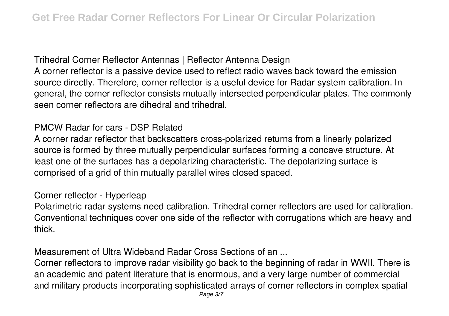**Trihedral Corner Reflector Antennas | Reflector Antenna Design** A corner reflector is a passive device used to reflect radio waves back toward the emission source directly. Therefore, corner reflector is a useful device for Radar system calibration. In general, the corner reflector consists mutually intersected perpendicular plates. The commonly seen corner reflectors are dihedral and trihedral.

# **PMCW Radar for cars - DSP Related**

A corner radar reflector that backscatters cross-polarized returns from a linearly polarized source is formed by three mutually perpendicular surfaces forming a concave structure. At least one of the surfaces has a depolarizing characteristic. The depolarizing surface is comprised of a grid of thin mutually parallel wires closed spaced.

#### **Corner reflector - Hyperleap**

Polarimetric radar systems need calibration. Trihedral corner reflectors are used for calibration. Conventional techniques cover one side of the reflector with corrugations which are heavy and thick.

**Measurement of Ultra Wideband Radar Cross Sections of an ...**

Corner reflectors to improve radar visibility go back to the beginning of radar in WWII. There is an academic and patent literature that is enormous, and a very large number of commercial and military products incorporating sophisticated arrays of corner reflectors in complex spatial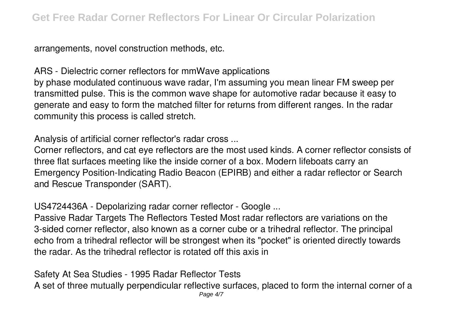arrangements, novel construction methods, etc.

**ARS - Dielectric corner reflectors for mmWave applications**

by phase modulated continuous wave radar, I'm assuming you mean linear FM sweep per transmitted pulse. This is the common wave shape for automotive radar because it easy to generate and easy to form the matched filter for returns from different ranges. In the radar community this process is called stretch.

**Analysis of artificial corner reflector's radar cross ...**

Corner reflectors, and cat eye reflectors are the most used kinds. A corner reflector consists of three flat surfaces meeting like the inside corner of a box. Modern lifeboats carry an Emergency Position-Indicating Radio Beacon (EPIRB) and either a radar reflector or Search and Rescue Transponder (SART).

**US4724436A - Depolarizing radar corner reflector - Google ...**

Passive Radar Targets The Reflectors Tested Most radar reflectors are variations on the 3-sided corner reflector, also known as a corner cube or a trihedral reflector. The principal echo from a trihedral reflector will be strongest when its "pocket" is oriented directly towards the radar. As the trihedral reflector is rotated off this axis in

**Safety At Sea Studies - 1995 Radar Reflector Tests** A set of three mutually perpendicular reflective surfaces, placed to form the internal corner of a Page 4/7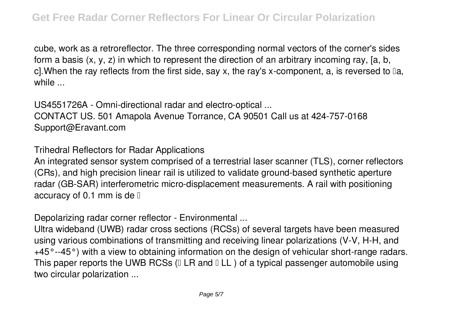cube, work as a retroreflector. The three corresponding normal vectors of the corner's sides form a basis (x, y, z) in which to represent the direction of an arbitrary incoming ray, [a, b, c].When the ray reflects from the first side, say x, the ray's x-component, a, is reversed to □a, while ...

**US4551726A - Omni-directional radar and electro-optical ...** CONTACT US. 501 Amapola Avenue Torrance, CA 90501 Call us at 424-757-0168 Support@Eravant.com

**Trihedral Reflectors for Radar Applications**

An integrated sensor system comprised of a terrestrial laser scanner (TLS), corner reflectors (CRs), and high precision linear rail is utilized to validate ground-based synthetic aperture radar (GB-SAR) interferometric micro-displacement measurements. A rail with positioning accuracy of 0.1 mm is de  $\mathbb I$ 

**Depolarizing radar corner reflector - Environmental ...**

Ultra wideband (UWB) radar cross sections (RCSs) of several targets have been measured using various combinations of transmitting and receiving linear polarizations (V-V, H-H, and +45°--45°) with a view to obtaining information on the design of vehicular short-range radars. This paper reports the UWB RCSs ( $\Box$  LR and  $\Box$  LL) of a typical passenger automobile using two circular polarization ...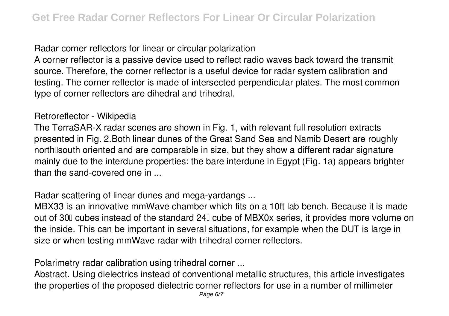## **Radar corner reflectors for linear or circular polarization**

A corner reflector is a passive device used to reflect radio waves back toward the transmit source. Therefore, the corner reflector is a useful device for radar system calibration and testing. The corner reflector is made of intersected perpendicular plates. The most common type of corner reflectors are dihedral and trihedral.

### **Retroreflector - Wikipedia**

The TerraSAR-X radar scenes are shown in Fig. 1, with relevant full resolution extracts presented in Fig. 2.Both linear dunes of the Great Sand Sea and Namib Desert are roughly north south oriented and are comparable in size, but they show a different radar signature mainly due to the interdune properties: the bare interdune in Egypt (Fig. 1a) appears brighter than the sand-covered one in ...

# **Radar scattering of linear dunes and mega-yardangs ...**

MBX33 is an innovative mmWave chamber which fits on a 10ft lab bench. Because it is made out of 30<sup> $\degree$ </sup> cubes instead of the standard 24 $\degree$  cube of MBX0x series, it provides more volume on the inside. This can be important in several situations, for example when the DUT is large in size or when testing mmWave radar with trihedral corner reflectors.

**Polarimetry radar calibration using trihedral corner ...**

Abstract. Using dielectrics instead of conventional metallic structures, this article investigates the properties of the proposed dielectric corner reflectors for use in a number of millimeter